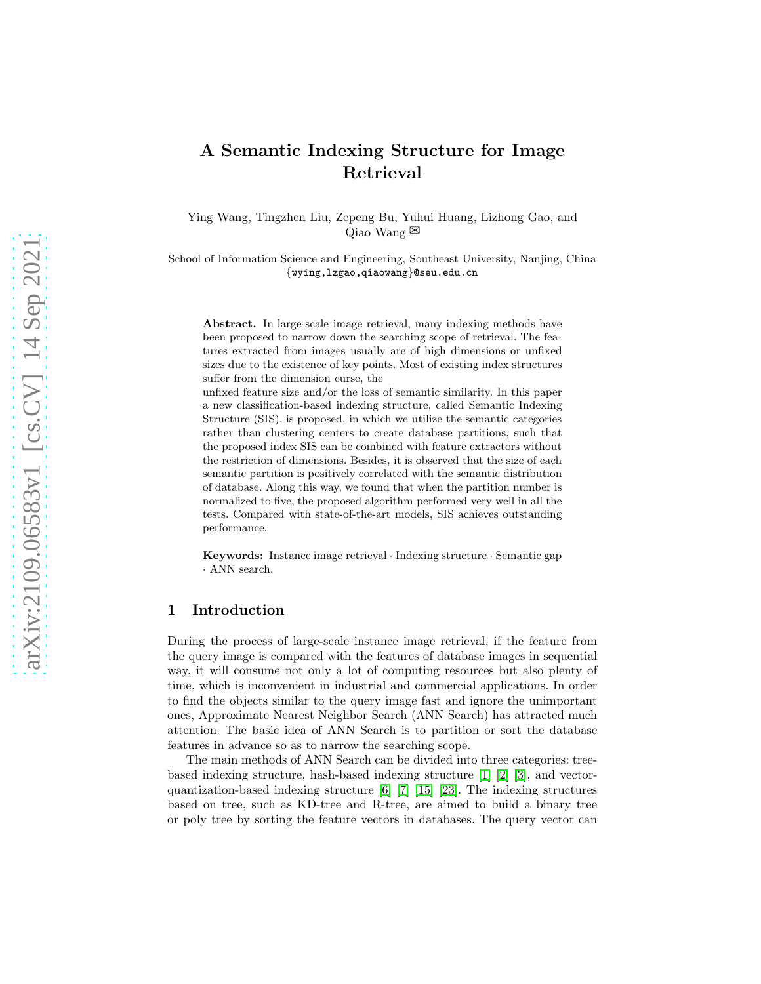# A Semantic Indexing Structure for Image Retrieval

Ying Wang, Tingzhen Liu, Zepeng Bu, Yuhui Huang, Lizhong Gao, and Qiao Wang  $\boxtimes$ 

School of Information Science and Engineering, Southeast University, Nanjing, China {wying,lzgao,qiaowang}@seu.edu.cn

Abstract. In large-scale image retrieval, many indexing methods have been proposed to narrow down the searching scope of retrieval. The features extracted from images usually are of high dimensions or unfixed sizes due to the existence of key points. Most of existing index structures suffer from the dimension curse, the

unfixed feature size and/or the loss of semantic similarity. In this paper a new classification-based indexing structure, called Semantic Indexing Structure (SIS), is proposed, in which we utilize the semantic categories rather than clustering centers to create database partitions, such that the proposed index SIS can be combined with feature extractors without the restriction of dimensions. Besides, it is observed that the size of each semantic partition is positively correlated with the semantic distribution of database. Along this way, we found that when the partition number is normalized to five, the proposed algorithm performed very well in all the tests. Compared with state-of-the-art models, SIS achieves outstanding performance.

Keywords: Instance image retrieval · Indexing structure · Semantic gap · ANN search.

## 1 Introduction

During the process of large-scale instance image retrieval, if the feature from the query image is compared with the features of database images in sequential way, it will consume not only a lot of computing resources but also plenty of time, which is inconvenient in industrial and commercial applications. In order to find the objects similar to the query image fast and ignore the unimportant ones, Approximate Nearest Neighbor Search (ANN Search) has attracted much attention. The basic idea of ANN Search is to partition or sort the database features in advance so as to narrow the searching scope.

The main methods of ANN Search can be divided into three categories: treebased indexing structure, hash-based indexing structure [\[1\]](#page-10-0) [2] [\[3\]](#page-10-1), and vectorquantization-based indexing structure  $\begin{bmatrix} 6 \end{bmatrix}$   $\begin{bmatrix} 7 \end{bmatrix}$   $\begin{bmatrix} 15 \end{bmatrix}$   $\begin{bmatrix} 23 \end{bmatrix}$ . The indexing structures based on tree, such as KD-tree and R-tree, are aimed to build a binary tree or poly tree by sorting the feature vectors in databases. The query vector can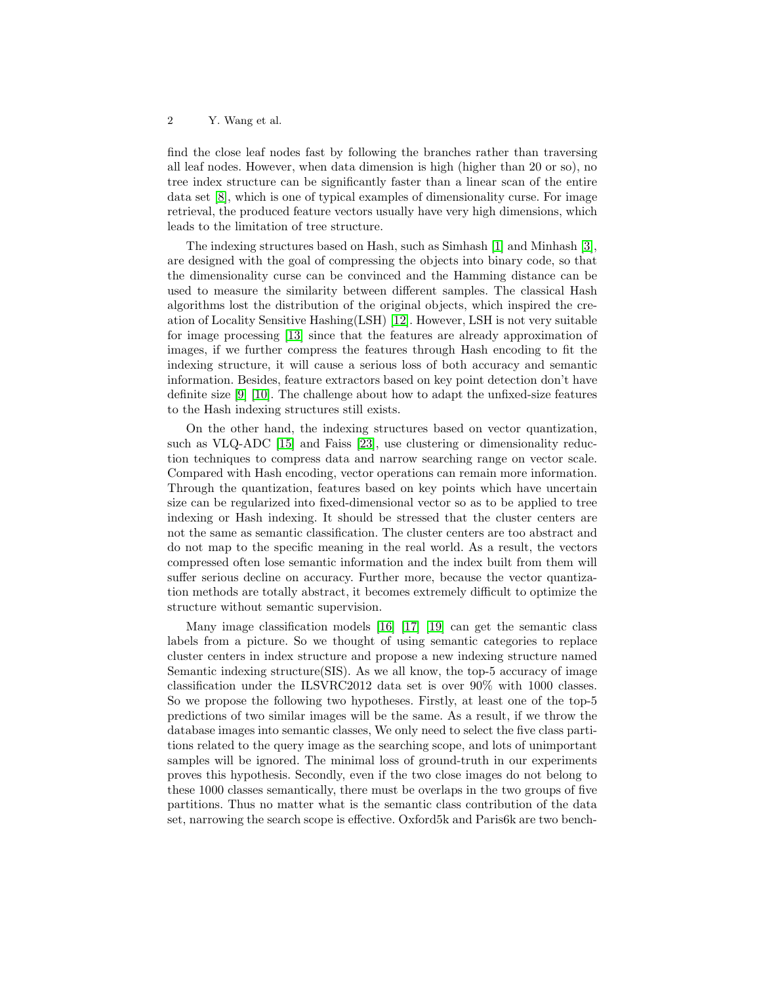#### 2 Y. Wang et al.

find the close leaf nodes fast by following the branches rather than traversing all leaf nodes. However, when data dimension is high (higher than 20 or so), no tree index structure can be significantly faster than a linear scan of the entire data set [8], which is one of typical examples of dimensionality curse. For image retrieval, the produced feature vectors usually have very high dimensions, which leads to the limitation of tree structure.

The indexing structures based on Hash, such as Simhash [\[1\]](#page-10-0) and Minhash [\[3\]](#page-10-1), are designed with the goal of compressing the objects into binary code, so that the dimensionality curse can be convinced and the Hamming distance can be used to measure the similarity between different samples. The classical Hash algorithms lost the distribution of the original objects, which inspired the creation of Locality Sensitive Hashing(LSH) [12]. However, LSH is not very suitable for image processing [13] since that the features are already approximation of images, if we further compress the features through Hash encoding to fit the indexing structure, it will cause a serious loss of both accuracy and semantic information. Besides, feature extractors based on key point detection don't have definite size [\[9\]](#page-11-3) [\[10\]](#page-11-4). The challenge about how to adapt the unfixed-size features to the Hash indexing structures still exists.

On the other hand, the indexing structures based on vector quantization, such as VLQ-ADC [\[15\]](#page-11-1) and Faiss [\[23\]](#page-11-2), use clustering or dimensionality reduction techniques to compress data and narrow searching range on vector scale. Compared with Hash encoding, vector operations can remain more information. Through the quantization, features based on key points which have uncertain size can be regularized into fixed-dimensional vector so as to be applied to tree indexing or Hash indexing. It should be stressed that the cluster centers are not the same as semantic classification. The cluster centers are too abstract and do not map to the specific meaning in the real world. As a result, the vectors compressed often lose semantic information and the index built from them will suffer serious decline on accuracy. Further more, because the vector quantization methods are totally abstract, it becomes extremely difficult to optimize the structure without semantic supervision.

Many image classification models [\[16\]](#page-11-5) [\[17\]](#page-11-6) [\[19\]](#page-11-7) can get the semantic class labels from a picture. So we thought of using semantic categories to replace cluster centers in index structure and propose a new indexing structure named Semantic indexing structure(SIS). As we all know, the top-5 accuracy of image classification under the ILSVRC2012 data set is over 90% with 1000 classes. So we propose the following two hypotheses. Firstly, at least one of the top-5 predictions of two similar images will be the same. As a result, if we throw the database images into semantic classes, We only need to select the five class partitions related to the query image as the searching scope, and lots of unimportant samples will be ignored. The minimal loss of ground-truth in our experiments proves this hypothesis. Secondly, even if the two close images do not belong to these 1000 classes semantically, there must be overlaps in the two groups of five partitions. Thus no matter what is the semantic class contribution of the data set, narrowing the search scope is effective. Oxford5k and Paris6k are two bench-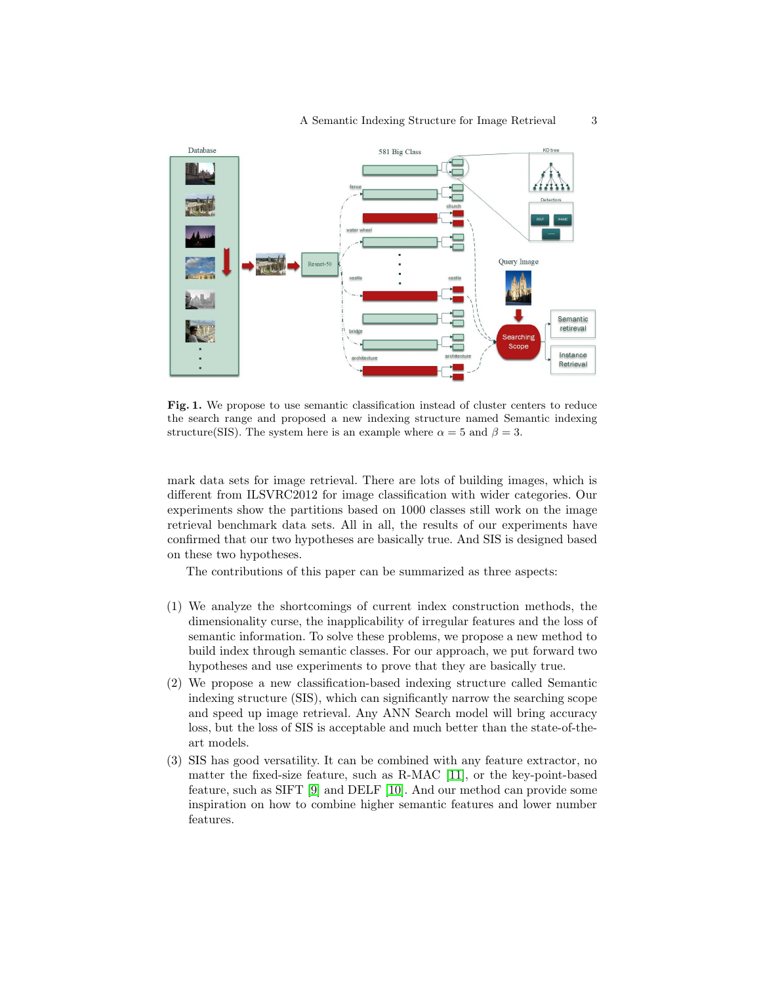

Fig. 1. We propose to use semantic classification instead of cluster centers to reduce the search range and proposed a new indexing structure named Semantic indexing structure(SIS). The system here is an example where  $\alpha = 5$  and  $\beta = 3$ .

mark data sets for image retrieval. There are lots of building images, which is different from ILSVRC2012 for image classification with wider categories. Our experiments show the partitions based on 1000 classes still work on the image retrieval benchmark data sets. All in all, the results of our experiments have confirmed that our two hypotheses are basically true. And SIS is designed based on these two hypotheses.

The contributions of this paper can be summarized as three aspects:

- (1) We analyze the shortcomings of current index construction methods, the dimensionality curse, the inapplicability of irregular features and the loss of semantic information. To solve these problems, we propose a new method to build index through semantic classes. For our approach, we put forward two hypotheses and use experiments to prove that they are basically true.
- (2) We propose a new classification-based indexing structure called Semantic indexing structure (SIS), which can significantly narrow the searching scope and speed up image retrieval. Any ANN Search model will bring accuracy loss, but the loss of SIS is acceptable and much better than the state-of-theart models.
- (3) SIS has good versatility. It can be combined with any feature extractor, no matter the fixed-size feature, such as R-MAC [\[11\]](#page-11-8), or the key-point-based feature, such as SIFT [\[9\]](#page-11-3) and DELF [\[10\]](#page-11-4). And our method can provide some inspiration on how to combine higher semantic features and lower number features.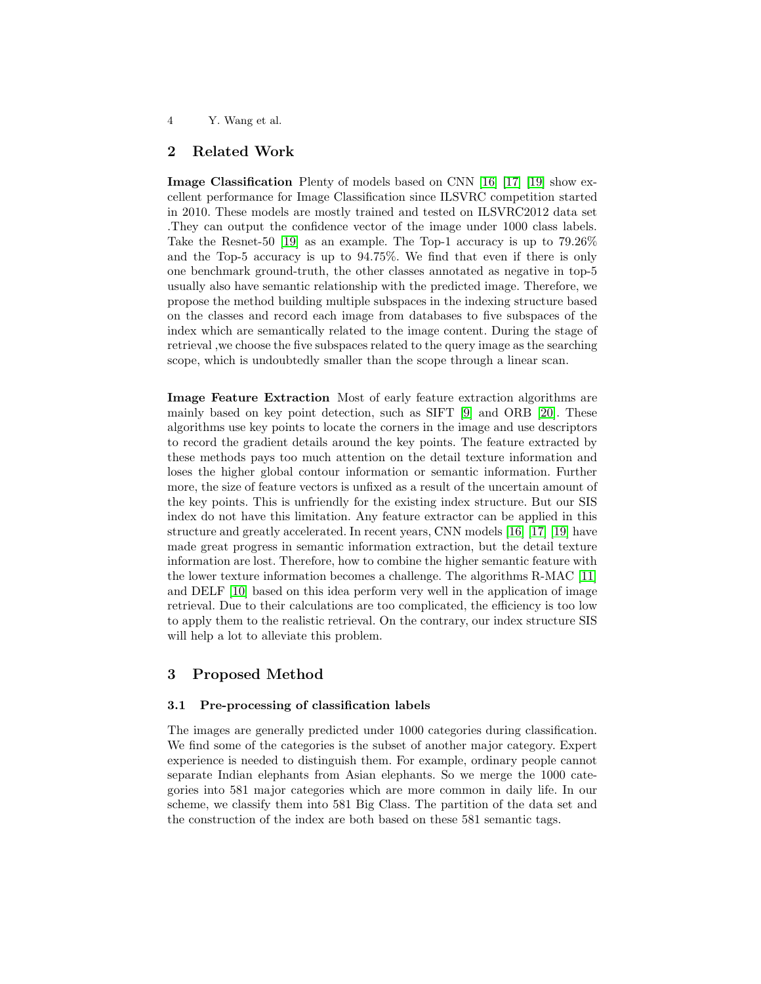#### 4 Y. Wang et al.

# 2 Related Work

Image Classification Plenty of models based on CNN [\[16\]](#page-11-5) [\[17\]](#page-11-6) [\[19\]](#page-11-7) show excellent performance for Image Classification since ILSVRC competition started in 2010. These models are mostly trained and tested on ILSVRC2012 data set .They can output the confidence vector of the image under 1000 class labels. Take the Resnet-50 [\[19\]](#page-11-7) as an example. The Top-1 accuracy is up to 79.26% and the Top-5 accuracy is up to 94.75%. We find that even if there is only one benchmark ground-truth, the other classes annotated as negative in top-5 usually also have semantic relationship with the predicted image. Therefore, we propose the method building multiple subspaces in the indexing structure based on the classes and record each image from databases to five subspaces of the index which are semantically related to the image content. During the stage of retrieval ,we choose the five subspaces related to the query image as the searching scope, which is undoubtedly smaller than the scope through a linear scan.

Image Feature Extraction Most of early feature extraction algorithms are mainly based on key point detection, such as SIFT [\[9\]](#page-11-3) and ORB [\[20\]](#page-11-9). These algorithms use key points to locate the corners in the image and use descriptors to record the gradient details around the key points. The feature extracted by these methods pays too much attention on the detail texture information and loses the higher global contour information or semantic information. Further more, the size of feature vectors is unfixed as a result of the uncertain amount of the key points. This is unfriendly for the existing index structure. But our SIS index do not have this limitation. Any feature extractor can be applied in this structure and greatly accelerated. In recent years, CNN models [\[16\]](#page-11-5) [\[17\]](#page-11-6) [\[19\]](#page-11-7) have made great progress in semantic information extraction, but the detail texture information are lost. Therefore, how to combine the higher semantic feature with the lower texture information becomes a challenge. The algorithms R-MAC [\[11\]](#page-11-8) and DELF [\[10\]](#page-11-4) based on this idea perform very well in the application of image retrieval. Due to their calculations are too complicated, the efficiency is too low to apply them to the realistic retrieval. On the contrary, our index structure SIS will help a lot to alleviate this problem.

# 3 Proposed Method

## 3.1 Pre-processing of classification labels

The images are generally predicted under 1000 categories during classification. We find some of the categories is the subset of another major category. Expert experience is needed to distinguish them. For example, ordinary people cannot separate Indian elephants from Asian elephants. So we merge the 1000 categories into 581 major categories which are more common in daily life. In our scheme, we classify them into 581 Big Class. The partition of the data set and the construction of the index are both based on these 581 semantic tags.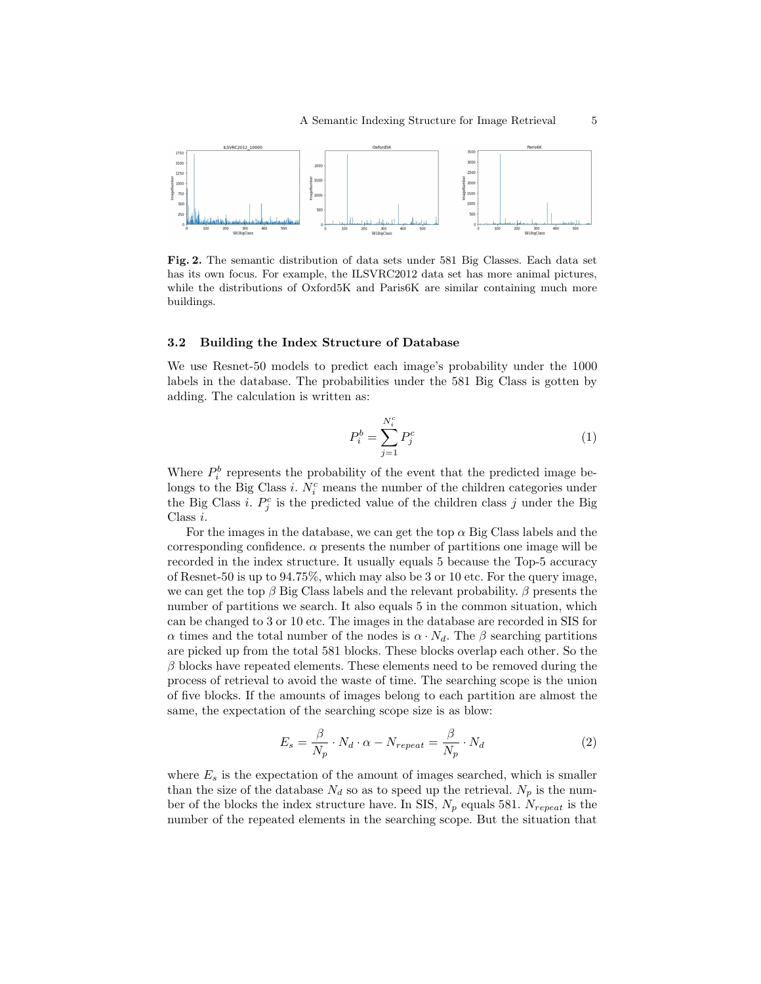

<span id="page-4-0"></span>Fig. 2. The semantic distribution of data sets under 581 Big Classes. Each data set has its own focus. For example, the ILSVRC2012 data set has more animal pictures, while the distributions of Oxford5K and Paris6K are similar containing much more buildings.

### 3.2 Building the Index Structure of Database

We use Resnet-50 models to predict each image's probability under the 1000 labels in the database. The probabilities under the 581 Big Class is gotten by adding. The calculation is written as:

$$
P_i^b = \sum_{j=1}^{N_i^c} P_j^c \tag{1}
$$

Where  $P_i^b$  represents the probability of the event that the predicted image belongs to the Big Class *i*.  $N_i^c$  means the number of the children categories under the Big Class *i*.  $P_j^c$  is the predicted value of the children class *j* under the Big Class i.

For the images in the database, we can get the top  $\alpha$  Big Class labels and the corresponding confidence.  $\alpha$  presents the number of partitions one image will be recorded in the index structure. It usually equals 5 because the Top-5 accuracy of Resnet-50 is up to 94.75%, which may also be 3 or 10 etc. For the query image, we can get the top  $\beta$  Big Class labels and the relevant probability.  $\beta$  presents the number of partitions we search. It also equals 5 in the common situation, which can be changed to 3 or 10 etc. The images in the database are recorded in SIS for α times and the total number of the nodes is  $\alpha \cdot N_d$ . The β searching partitions are picked up from the total 581 blocks. These blocks overlap each other. So the  $\beta$  blocks have repeated elements. These elements need to be removed during the process of retrieval to avoid the waste of time. The searching scope is the union of five blocks. If the amounts of images belong to each partition are almost the same, the expectation of the searching scope size is as blow:

$$
E_s = \frac{\beta}{N_p} \cdot N_d \cdot \alpha - N_{repeat} = \frac{\beta}{N_p} \cdot N_d \tag{2}
$$

where  $E_s$  is the expectation of the amount of images searched, which is smaller than the size of the database  $N_d$  so as to speed up the retrieval.  $N_p$  is the number of the blocks the index structure have. In SIS,  $N_p$  equals 581.  $N_{repeat}$  is the number of the repeated elements in the searching scope. But the situation that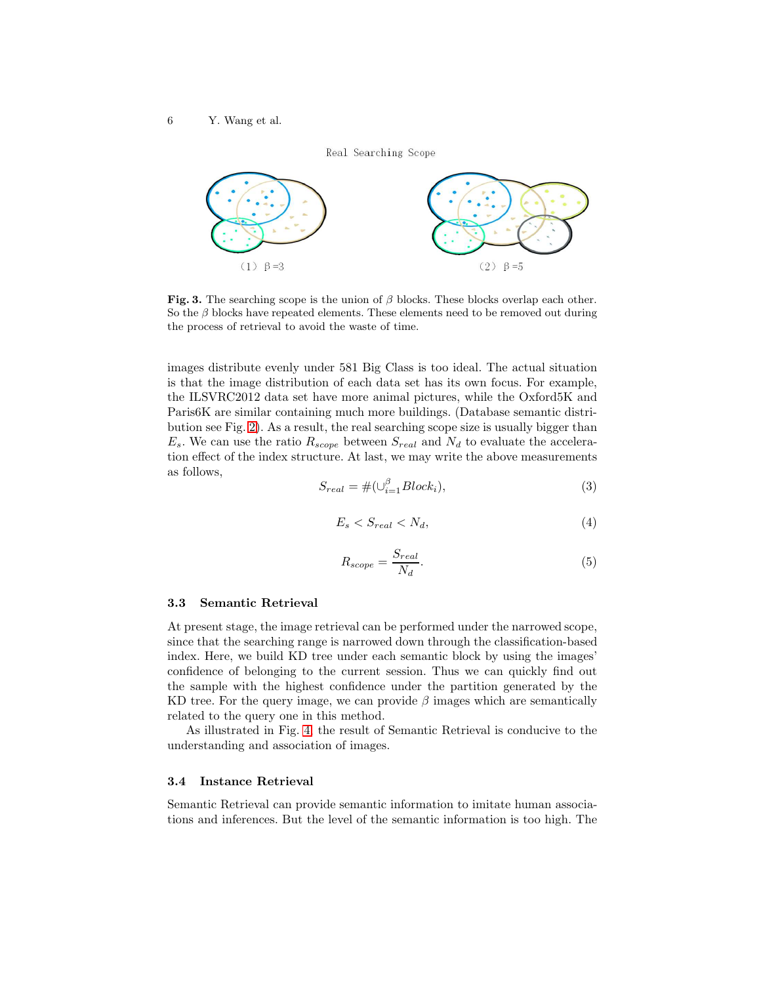Real Searching Scope



Fig. 3. The searching scope is the union of  $\beta$  blocks. These blocks overlap each other. So the  $\beta$  blocks have repeated elements. These elements need to be removed out during the process of retrieval to avoid the waste of time.

images distribute evenly under 581 Big Class is too ideal. The actual situation is that the image distribution of each data set has its own focus. For example, the ILSVRC2012 data set have more animal pictures, while the Oxford5K and Paris6K are similar containing much more buildings. (Database semantic distribution see Fig. [2\)](#page-4-0). As a result, the real searching scope size is usually bigger than  $E_s$ . We can use the ratio  $R_{scope}$  between  $S_{real}$  and  $N_d$  to evaluate the acceleration effect of the index structure. At last, we may write the above measurements as follows,

$$
S_{real} = \#(\cup_{i=1}^{\beta} Block_i),\tag{3}
$$

$$
E_s < S_{real} < N_d,\tag{4}
$$

$$
R_{scope} = \frac{S_{real}}{N_d}.\tag{5}
$$

#### 3.3 Semantic Retrieval

At present stage, the image retrieval can be performed under the narrowed scope, since that the searching range is narrowed down through the classification-based index. Here, we build KD tree under each semantic block by using the images' confidence of belonging to the current session. Thus we can quickly find out the sample with the highest confidence under the partition generated by the KD tree. For the query image, we can provide  $\beta$  images which are semantically related to the query one in this method.

As illustrated in Fig. [4,](#page-6-0) the result of Semantic Retrieval is conducive to the understanding and association of images.

#### 3.4 Instance Retrieval

Semantic Retrieval can provide semantic information to imitate human associations and inferences. But the level of the semantic information is too high. The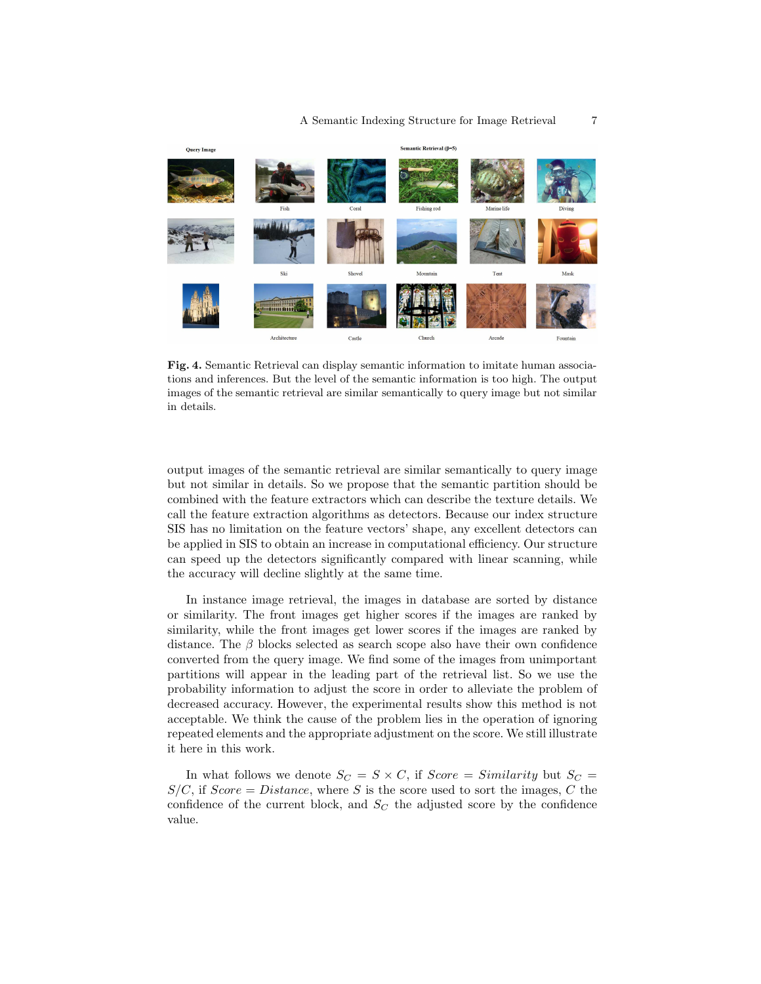

Fig. 4. Semantic Retrieval can display semantic information to imitate human associations and inferences. But the level of the semantic information is too high. The output images of the semantic retrieval are similar semantically to query image but not similar in details.

<span id="page-6-0"></span>output images of the semantic retrieval are similar semantically to query image but not similar in details. So we propose that the semantic partition should be combined with the feature extractors which can describe the texture details. We call the feature extraction algorithms as detectors. Because our index structure SIS has no limitation on the feature vectors' shape, any excellent detectors can be applied in SIS to obtain an increase in computational efficiency. Our structure can speed up the detectors significantly compared with linear scanning, while the accuracy will decline slightly at the same time.

In instance image retrieval, the images in database are sorted by distance or similarity. The front images get higher scores if the images are ranked by similarity, while the front images get lower scores if the images are ranked by distance. The  $\beta$  blocks selected as search scope also have their own confidence converted from the query image. We find some of the images from unimportant partitions will appear in the leading part of the retrieval list. So we use the probability information to adjust the score in order to alleviate the problem of decreased accuracy. However, the experimental results show this method is not acceptable. We think the cause of the problem lies in the operation of ignoring repeated elements and the appropriate adjustment on the score. We still illustrate it here in this work.

In what follows we denote  $S_C = S \times C$ , if  $Score = Similarity$  but  $S_C =$  $S/C$ , if  $Score = Distance$ , where S is the score used to sort the images, C the confidence of the current block, and  $S_C$  the adjusted score by the confidence value.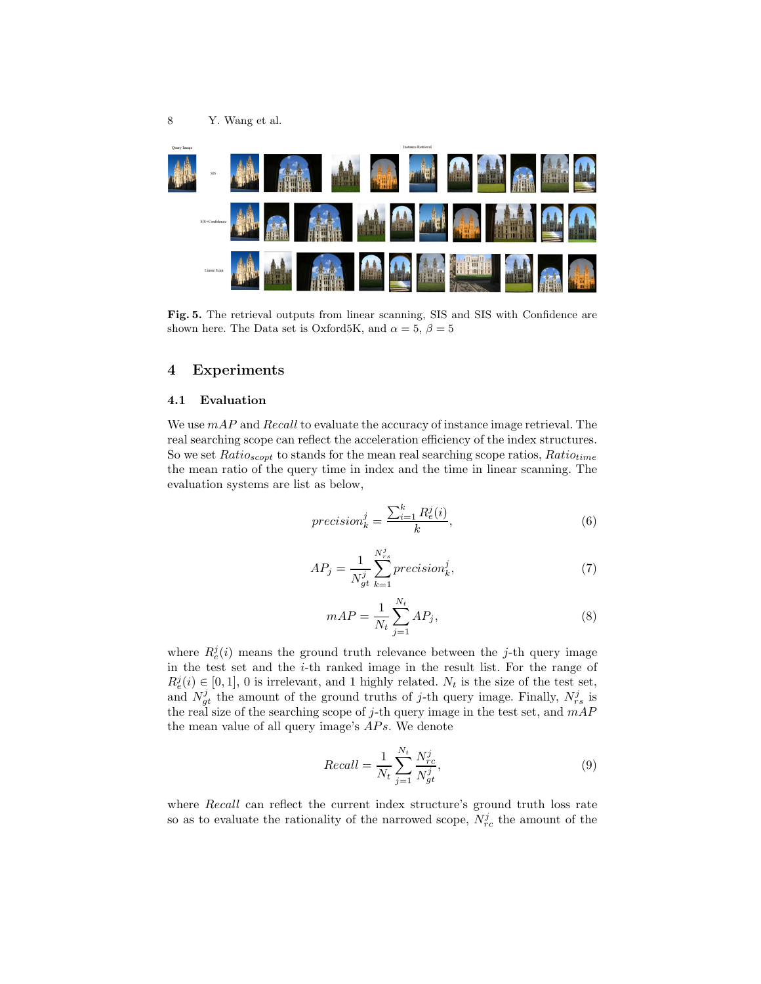

Fig. 5. The retrieval outputs from linear scanning, SIS and SIS with Confidence are shown here. The Data set is Oxford5K, and  $\alpha = 5, \beta = 5$ 

# 4 Experiments

#### 4.1 Evaluation

We use mAP and Recall to evaluate the accuracy of instance image retrieval. The real searching scope can reflect the acceleration efficiency of the index structures. So we set  $Ratio_{scopt}$  to stands for the mean real searching scope ratios,  $Ratio_{time}$ the mean ratio of the query time in index and the time in linear scanning. The evaluation systems are list as below,

$$
precision_k^j = \frac{\sum_{i=1}^k R_e^j(i)}{k},\tag{6}
$$

$$
AP_j = \frac{1}{N_{gt}^j} \sum_{k=1}^{N_{rs}^j} precision_k^j,
$$
\n<sup>(7)</sup>

$$
mAP = \frac{1}{N_t} \sum_{j=1}^{N_t} AP_j,
$$
\n(8)

where  $R_e^j(i)$  means the ground truth relevance between the j-th query image in the test set and the i-th ranked image in the result list. For the range of  $R_e^j(i) \in [0,1], 0$  is irrelevant, and 1 highly related.  $N_t$  is the size of the test set, and  $N_{gt}^{j}$  the amount of the ground truths of j-th query image. Finally,  $N_{rs}^{j}$  is the real size of the searching scope of j-th query image in the test set, and  $mAP$ the mean value of all query image's  $APs$ . We denote

$$
Recall = \frac{1}{N_t} \sum_{j=1}^{N_t} \frac{N_{rc}^j}{N_{gt}^j},\tag{9}
$$

where Recall can reflect the current index structure's ground truth loss rate so as to evaluate the rationality of the narrowed scope,  $N_{rc}^j$  the amount of the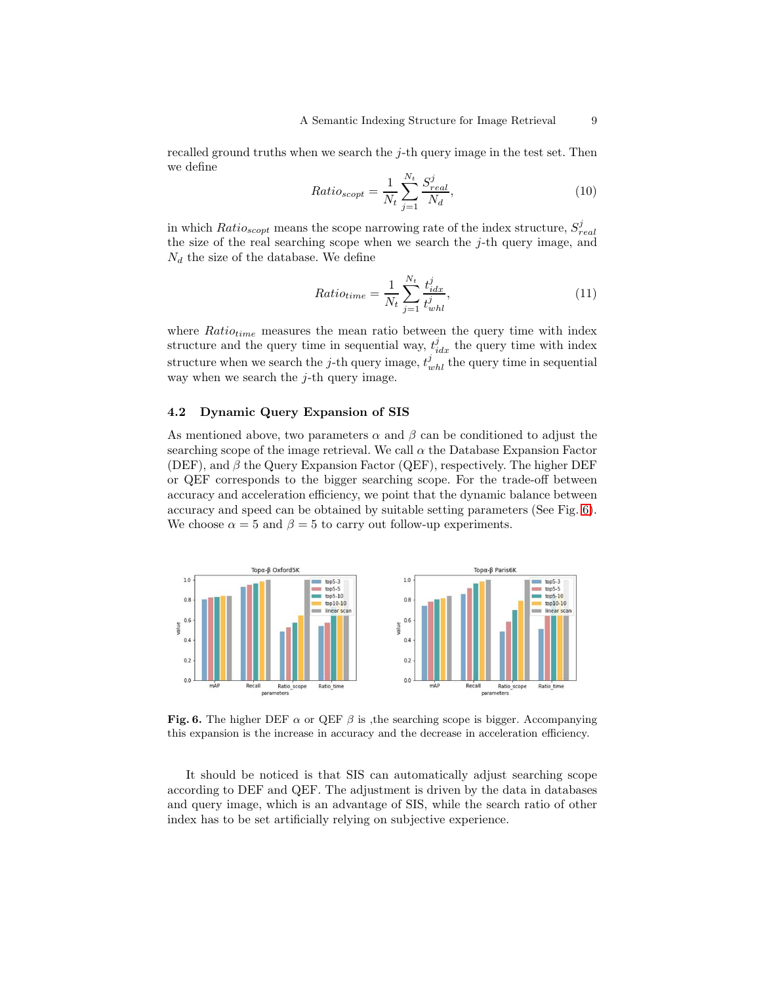recalled ground truths when we search the j-th query image in the test set. Then we define

$$
Ratio_{scopt} = \frac{1}{N_t} \sum_{j=1}^{N_t} \frac{S_{real}^j}{N_d},
$$
\n(10)

in which  $Ratio_{scopt}$  means the scope narrowing rate of the index structure,  $S_{real}^j$ the size of the real searching scope when we search the  $j$ -th query image, and  $N_d$  the size of the database. We define

$$
Ratio_{time} = \frac{1}{N_t} \sum_{j=1}^{N_t} \frac{t_{idx}^j}{t_{whl}^j},\tag{11}
$$

where  $Ratio_{time}$  measures the mean ratio between the query time with index structure and the query time in sequential way,  $t_{idx}^j$  the query time with index structure when we search the *j*-th query image,  $t_{whl}^j$  the query time in sequential way when we search the  $j$ -th query image.

#### 4.2 Dynamic Query Expansion of SIS

As mentioned above, two parameters  $\alpha$  and  $\beta$  can be conditioned to adjust the searching scope of the image retrieval. We call  $\alpha$  the Database Expansion Factor (DEF), and  $\beta$  the Query Expansion Factor (QEF), respectively. The higher DEF or QEF corresponds to the bigger searching scope. For the trade-off between accuracy and acceleration efficiency, we point that the dynamic balance between accuracy and speed can be obtained by suitable setting parameters (See Fig. [6\)](#page-8-0). We choose  $\alpha = 5$  and  $\beta = 5$  to carry out follow-up experiments.



<span id="page-8-0"></span>Fig. 6. The higher DEF  $\alpha$  or QEF  $\beta$  is , the searching scope is bigger. Accompanying this expansion is the increase in accuracy and the decrease in acceleration efficiency.

It should be noticed is that SIS can automatically adjust searching scope according to DEF and QEF. The adjustment is driven by the data in databases and query image, which is an advantage of SIS, while the search ratio of other index has to be set artificially relying on subjective experience.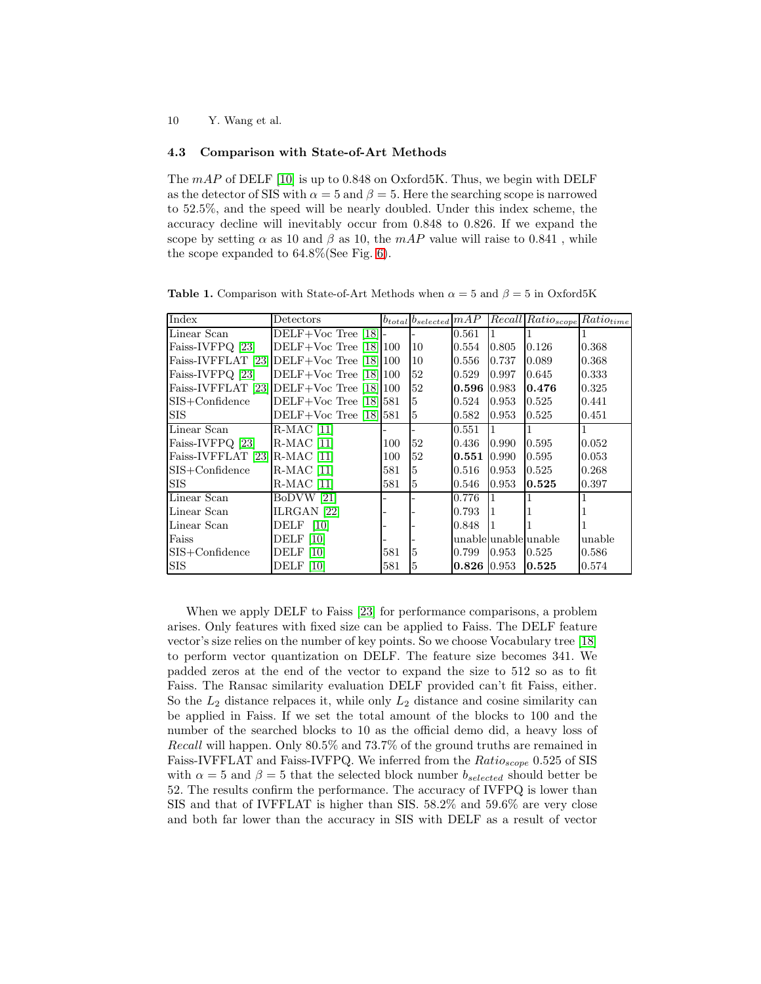10 Y. Wang et al.

#### 4.3 Comparison with State-of-Art Methods

The  $mAP$  of DELF [\[10\]](#page-11-4) is up to 0.848 on Oxford5K. Thus, we begin with DELF as the detector of SIS with  $\alpha = 5$  and  $\beta = 5$ . Here the searching scope is narrowed to 52.5%, and the speed will be nearly doubled. Under this index scheme, the accuracy decline will inevitably occur from 0.848 to 0.826. If we expand the scope by setting  $\alpha$  as 10 and  $\beta$  as 10, the mAP value will raise to 0.841, while the scope expanded to 64.8%(See Fig. [6\)](#page-8-0).

 $\text{Index}$  Detectors  $\begin{array}{c|c}\n\text{Interested} & \text{MAP} & \text{Recall} \\
\text{Rateed} & \text{Rato} & \text{Rato} \\
\text{Dotectors} & \text{Dote } & \text{Dote } & \text{Dote } & \text{Dote } & \text{Dote } & \text{Dote } & \text{Dote } & \text{Dote } & \text{Dote } & \text{Dote } & \text{Dote } & \text{Dote } & \text{Dote } & \text{Dote } & \text{Dote }$ Linear Scan  $DELF+Voc$  Tree [\[18\]](#page-11-10)  $\vert$ -  $\vert$ -  $\vert$ 0.561 Faiss-IVFPQ [\[23\]](#page-11-2)  $\qquad$  DELF+Voc Tree [\[18\]](#page-11-10) 100 10 0.554 0.805 0.126 0.368 Faiss-IVFFLAT [\[23\]](#page-11-2) DELF+Voc Tree [\[18\]](#page-11-10) 100 | 10 | 0.556 | 0.737 | 0.089 | 0.368 Faiss-IVFPQ [\[23\]](#page-11-2) DELF+Voc Tree [\[18\]](#page-11-10) 100 [52 0.529 0.997 0.645 0.333 Faiss-IVFFLAT [\[23\]](#page-11-2) DELF+Voc Tree [\[18\]](#page-11-10) 100 52  $0.596$   $0.983$   $0.476$  0.325 SIS+Confidence DELF+Voc Tree [\[18\]](#page-11-10) 581 5 0.524 0.953 0.525 0.441 SIS DELF+Voc Tree [\[18\]](#page-11-10) 581 5 0.582 0.953 0.525 0.451 Linear Scan R-MAC [\[11\]](#page-11-8)  $\vert$ -  $\vert$ -  $\vert$ -  $\vert$ -  $\vert$ 0.551  $\vert$ 1 1 1 Faiss-IVFPQ [\[23\]](#page-11-2) R-MAC [\[11\]](#page-11-8)  $\qquad$  100 [52 0.436 0.990 0.595 0.052 Faiss-IVFFLAT [\[23\]](#page-11-2) R-MAC [\[11\]](#page-11-8)  $\qquad$  100 52 0.551 0.990 0.595 0.053 SIS+Confidence R-MAC [\[11\]](#page-11-8) 581 5 0.516 0.953 0.525 0.268 SIS R-MAC [\[11\]](#page-11-8) 581 5 0.546 0.953 0.525 0.397 Linear Scan BoDVW [\[21\]](#page-11-11)  $\vert$ -  $\vert$ - 0.776  $\vert$ 1 1 1 Linear Scan  $|{\text{ILRGAN}}|22|$  - - 0.793 1 1 1 Linear Scan DELF [\[10\]](#page-11-4)  $\vert$ - - 0.848 Faiss DELF [\[10\]](#page-11-4)  $\vert$ -  $\vert$ - unable unable unable unable SIS+Confidence DELF [\[10\]](#page-11-4) 581 5 0.799 0.953 0.525 0.586 SIS DELF [\[10\]](#page-11-4) 581 5 0.826 0.953 0.525 0.574

**Table 1.** Comparison with State-of-Art Methods when  $\alpha = 5$  and  $\beta = 5$  in Oxford5K

When we apply DELF to Faiss [\[23\]](#page-11-2) for performance comparisons, a problem arises. Only features with fixed size can be applied to Faiss. The DELF feature vector's size relies on the number of key points. So we choose Vocabulary tree [\[18\]](#page-11-10) to perform vector quantization on DELF. The feature size becomes 341. We padded zeros at the end of the vector to expand the size to 512 so as to fit Faiss. The Ransac similarity evaluation DELF provided can't fit Faiss, either. So the  $L_2$  distance relpaces it, while only  $L_2$  distance and cosine similarity can be applied in Faiss. If we set the total amount of the blocks to 100 and the number of the searched blocks to 10 as the official demo did, a heavy loss of Recall will happen. Only 80.5% and 73.7% of the ground truths are remained in Faiss-IVFFLAT and Faiss-IVFPQ. We inferred from the  $Ratio_{scope}$  0.525 of SIS with  $\alpha = 5$  and  $\beta = 5$  that the selected block number  $b_{selected}$  should better be 52. The results confirm the performance. The accuracy of IVFPQ is lower than SIS and that of IVFFLAT is higher than SIS. 58.2% and 59.6% are very close and both far lower than the accuracy in SIS with DELF as a result of vector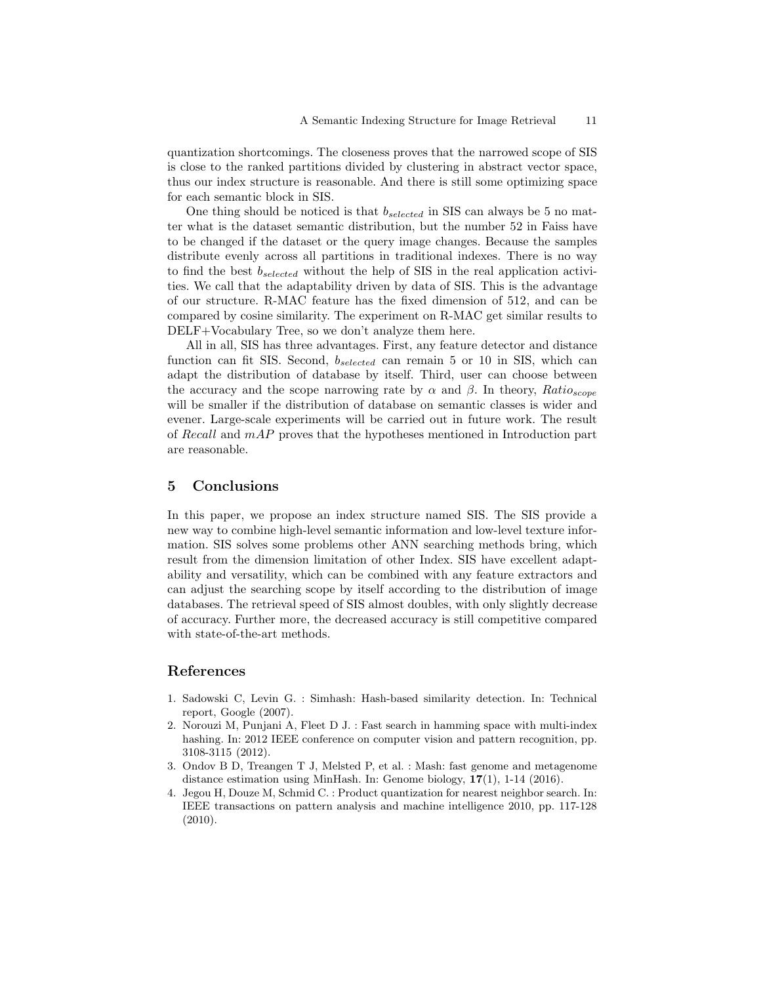quantization shortcomings. The closeness proves that the narrowed scope of SIS is close to the ranked partitions divided by clustering in abstract vector space, thus our index structure is reasonable. And there is still some optimizing space for each semantic block in SIS.

One thing should be noticed is that  $b_{selected}$  in SIS can always be 5 no matter what is the dataset semantic distribution, but the number 52 in Faiss have to be changed if the dataset or the query image changes. Because the samples distribute evenly across all partitions in traditional indexes. There is no way to find the best  $b_{selected}$  without the help of SIS in the real application activities. We call that the adaptability driven by data of SIS. This is the advantage of our structure. R-MAC feature has the fixed dimension of 512, and can be compared by cosine similarity. The experiment on R-MAC get similar results to DELF+Vocabulary Tree, so we don't analyze them here.

All in all, SIS has three advantages. First, any feature detector and distance function can fit SIS. Second,  $b_{selected}$  can remain 5 or 10 in SIS, which can adapt the distribution of database by itself. Third, user can choose between the accuracy and the scope narrowing rate by  $\alpha$  and  $\beta$ . In theory,  $Ratio_{scope}$ will be smaller if the distribution of database on semantic classes is wider and evener. Large-scale experiments will be carried out in future work. The result of Recall and mAP proves that the hypotheses mentioned in Introduction part are reasonable.

## 5 Conclusions

In this paper, we propose an index structure named SIS. The SIS provide a new way to combine high-level semantic information and low-level texture information. SIS solves some problems other ANN searching methods bring, which result from the dimension limitation of other Index. SIS have excellent adaptability and versatility, which can be combined with any feature extractors and can adjust the searching scope by itself according to the distribution of image databases. The retrieval speed of SIS almost doubles, with only slightly decrease of accuracy. Further more, the decreased accuracy is still competitive compared with state-of-the-art methods.

# References

- <span id="page-10-0"></span>1. Sadowski C, Levin G. : Simhash: Hash-based similarity detection. In: Technical report, Google (2007).
- 2. Norouzi M, Punjani A, Fleet D J. : Fast search in hamming space with multi-index hashing. In: 2012 IEEE conference on computer vision and pattern recognition, pp. 3108-3115 (2012).
- <span id="page-10-1"></span>3. Ondov B D, Treangen T J, Melsted P, et al. : Mash: fast genome and metagenome distance estimation using MinHash. In: Genome biology,  $17(1)$ , 1-14 (2016).
- 4. Jegou H, Douze M, Schmid C. : Product quantization for nearest neighbor search. In: IEEE transactions on pattern analysis and machine intelligence 2010, pp. 117-128 (2010).